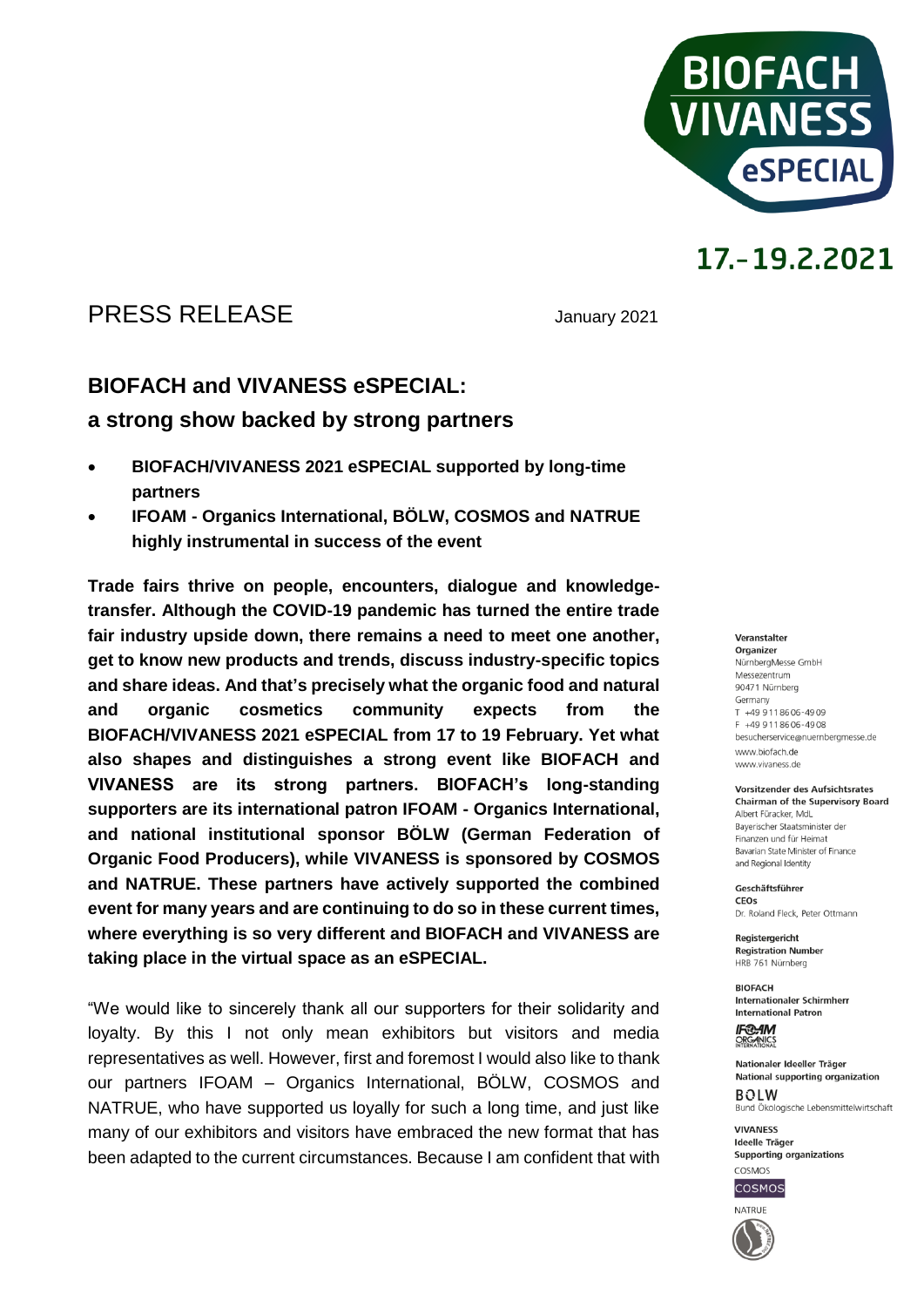

## PRESS RELEASE January 2021

### **BIOFACH and VIVANESS eSPECIAL:**

### **a strong show backed by strong partners**

- **BIOFACH/VIVANESS 2021 eSPECIAL supported by long-time partners**
- **IFOAM - Organics International, BÖLW, COSMOS and NATRUE highly instrumental in success of the event**

**Trade fairs thrive on people, encounters, dialogue and knowledgetransfer. Although the COVID-19 pandemic has turned the entire trade fair industry upside down, there remains a need to meet one another, get to know new products and trends, discuss industry-specific topics and share ideas. And that's precisely what the organic food and natural and organic cosmetics community expects from the BIOFACH/VIVANESS 2021 eSPECIAL from 17 to 19 February. Yet what also shapes and distinguishes a strong event like BIOFACH and VIVANESS are its strong partners. BIOFACH's long-standing supporters are its international patron IFOAM - Organics International, and national institutional sponsor BÖLW (German Federation of Organic Food Producers), while VIVANESS is sponsored by COSMOS and NATRUE. These partners have actively supported the combined event for many years and are continuing to do so in these current times, where everything is so very different and BIOFACH and VIVANESS are taking place in the virtual space as an eSPECIAL.**

"We would like to sincerely thank all our supporters for their solidarity and loyalty. By this I not only mean exhibitors but visitors and media representatives as well. However, first and foremost I would also like to thank our partners IFOAM – Organics International, BÖLW, COSMOS and NATRUE, who have supported us loyally for such a long time, and just like many of our exhibitors and visitors have embraced the new format that has been adapted to the current circumstances. Because I am confident that with

#### Veranstalter Organizer NürnbergMesse GmbH Messezentrum 90471 Nürnberg Germany  $T + 499118606 - 4909$ F +49 9 11 86 06 - 49 08 besucherservice@nuernbergmesse.de www.biofach.de www.vivaness.de

**Vorsitzender des Aufsichtsrates Chairman of the Supervisory Board** Albert Füracker, MdL Bayerischer Staatsminister der Finanzen und für Heimat

Bavarian State Minister of Finance and Regional Identity

Geschäftsführer CEOS Dr. Roland Eleck, Peter Ottmann

Registergericht **Registration Number** HRB 761 Nürnberg

**BIOFACH** Internationaler Schirmherr **International Patron** 

**IF®AM** ORGANICS

Nationaler Ideeller Träger National supporting organization  $ROIM$ Bund Ökologische Lebensmittelwirtschaft

**VIVANESS** Ideelle Träger Supporting organizations COSMOS



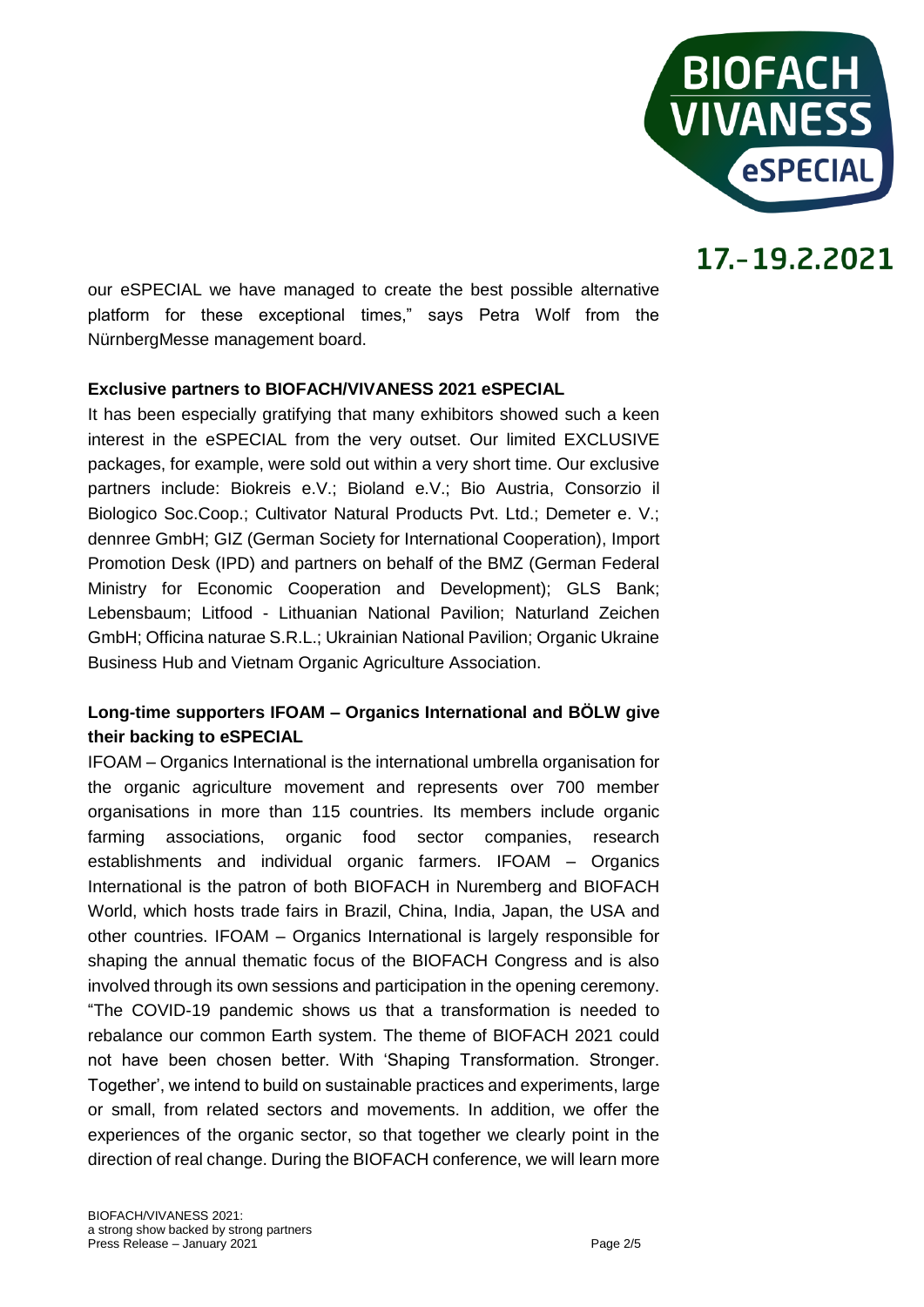

our eSPECIAL we have managed to create the best possible alternative platform for these exceptional times," says Petra Wolf from the NürnbergMesse management board.

### **Exclusive partners to BIOFACH/VIVANESS 2021 eSPECIAL**

It has been especially gratifying that many exhibitors showed such a keen interest in the eSPECIAL from the very outset. Our limited EXCLUSIVE packages, for example, were sold out within a very short time. Our exclusive partners include: Biokreis e.V.; Bioland e.V.; Bio Austria, Consorzio il Biologico Soc.Coop.; Cultivator Natural Products Pvt. Ltd.; Demeter e. V.; dennree GmbH; GIZ (German Society for International Cooperation), Import Promotion Desk (IPD) and partners on behalf of the BMZ (German Federal Ministry for Economic Cooperation and Development); GLS Bank; Lebensbaum; Litfood - Lithuanian National Pavilion; Naturland Zeichen GmbH; Officina naturae S.R.L.; Ukrainian National Pavilion; Organic Ukraine Business Hub and Vietnam Organic Agriculture Association.

### **Long-time supporters IFOAM – Organics International and BÖLW give their backing to eSPECIAL**

IFOAM – Organics International is the international umbrella organisation for the organic agriculture movement and represents over 700 member organisations in more than 115 countries. Its members include organic farming associations, organic food sector companies, research establishments and individual organic farmers. IFOAM – Organics International is the patron of both BIOFACH in Nuremberg and BIOFACH World, which hosts trade fairs in Brazil, China, India, Japan, the USA and other countries. IFOAM – Organics International is largely responsible for shaping the annual thematic focus of the BIOFACH Congress and is also involved through its own sessions and participation in the opening ceremony. "The COVID-19 pandemic shows us that a transformation is needed to rebalance our common Earth system. The theme of BIOFACH 2021 could not have been chosen better. With 'Shaping Transformation. Stronger. Together', we intend to build on sustainable practices and experiments, large or small, from related sectors and movements. In addition, we offer the experiences of the organic sector, so that together we clearly point in the direction of real change. During the BIOFACH conference, we will learn more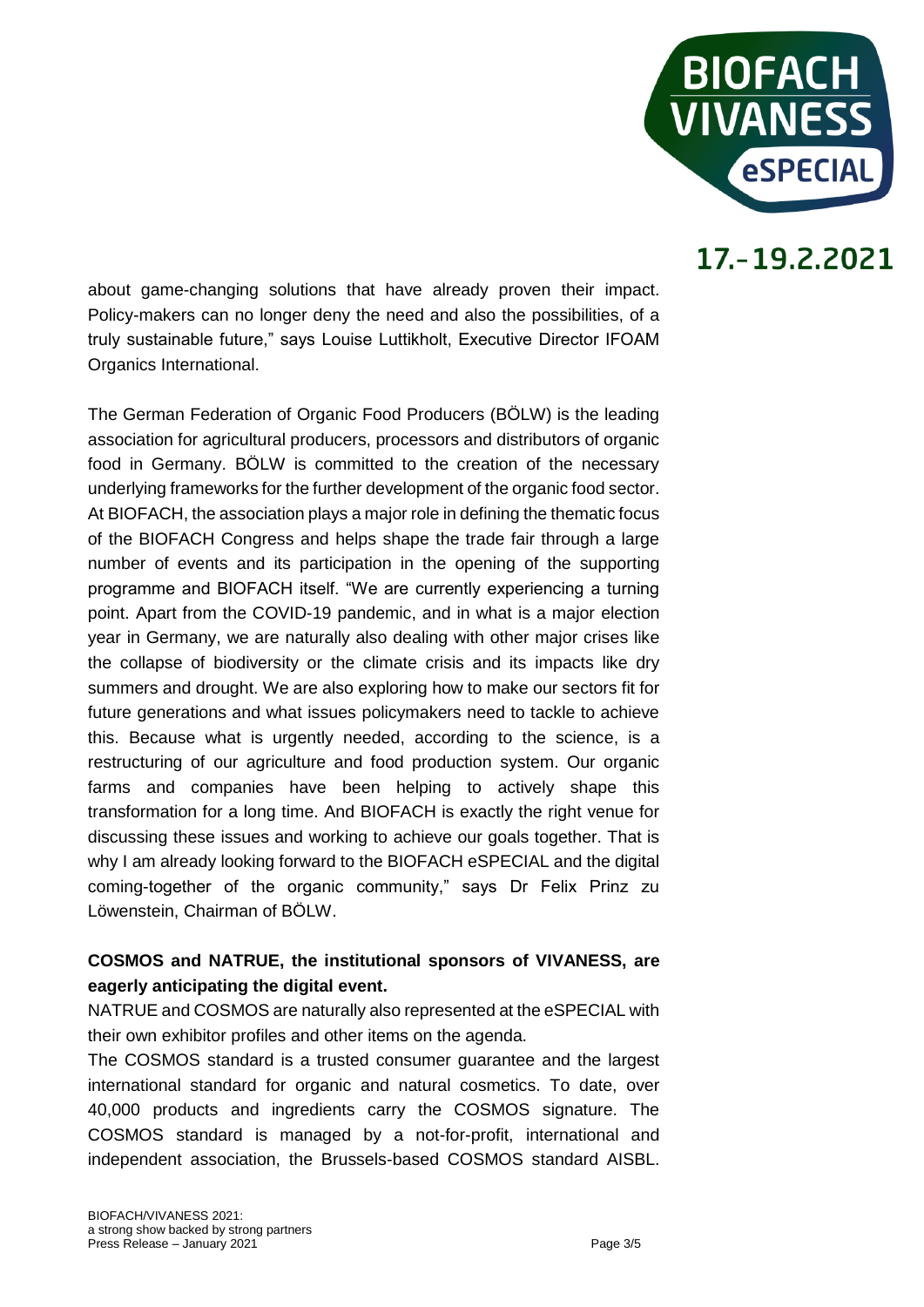

about game-changing solutions that have already proven their impact. Policy-makers can no longer deny the need and also the possibilities, of a truly sustainable future," says Louise Luttikholt, Executive Director IFOAM Organics International.

The German Federation of Organic Food Producers (BÖLW) is the leading association for agricultural producers, processors and distributors of organic food in Germany. BÖLW is committed to the creation of the necessary underlying frameworks for the further development of the organic food sector. At BIOFACH, the association plays a major role in defining the thematic focus of the BIOFACH Congress and helps shape the trade fair through a large number of events and its participation in the opening of the supporting programme and BIOFACH itself. "We are currently experiencing a turning point. Apart from the COVID-19 pandemic, and in what is a major election year in Germany, we are naturally also dealing with other major crises like the collapse of biodiversity or the climate crisis and its impacts like dry summers and drought. We are also exploring how to make our sectors fit for future generations and what issues policymakers need to tackle to achieve this. Because what is urgently needed, according to the science, is a restructuring of our agriculture and food production system. Our organic farms and companies have been helping to actively shape this transformation for a long time. And BIOFACH is exactly the right venue for discussing these issues and working to achieve our goals together. That is why I am already looking forward to the BIOFACH eSPECIAL and the digital coming-together of the organic community," says Dr Felix Prinz zu Löwenstein, Chairman of BÖLW.

### **COSMOS and NATRUE, the institutional sponsors of VIVANESS, are eagerly anticipating the digital event.**

NATRUE and COSMOS are naturally also represented at the eSPECIAL with their own exhibitor profiles and other items on the agenda.

The COSMOS standard is a trusted consumer guarantee and the largest international standard for organic and natural cosmetics. To date, over 40,000 products and ingredients carry the COSMOS signature. The COSMOS standard is managed by a not-for-profit, international and independent association, the Brussels-based COSMOS standard AISBL.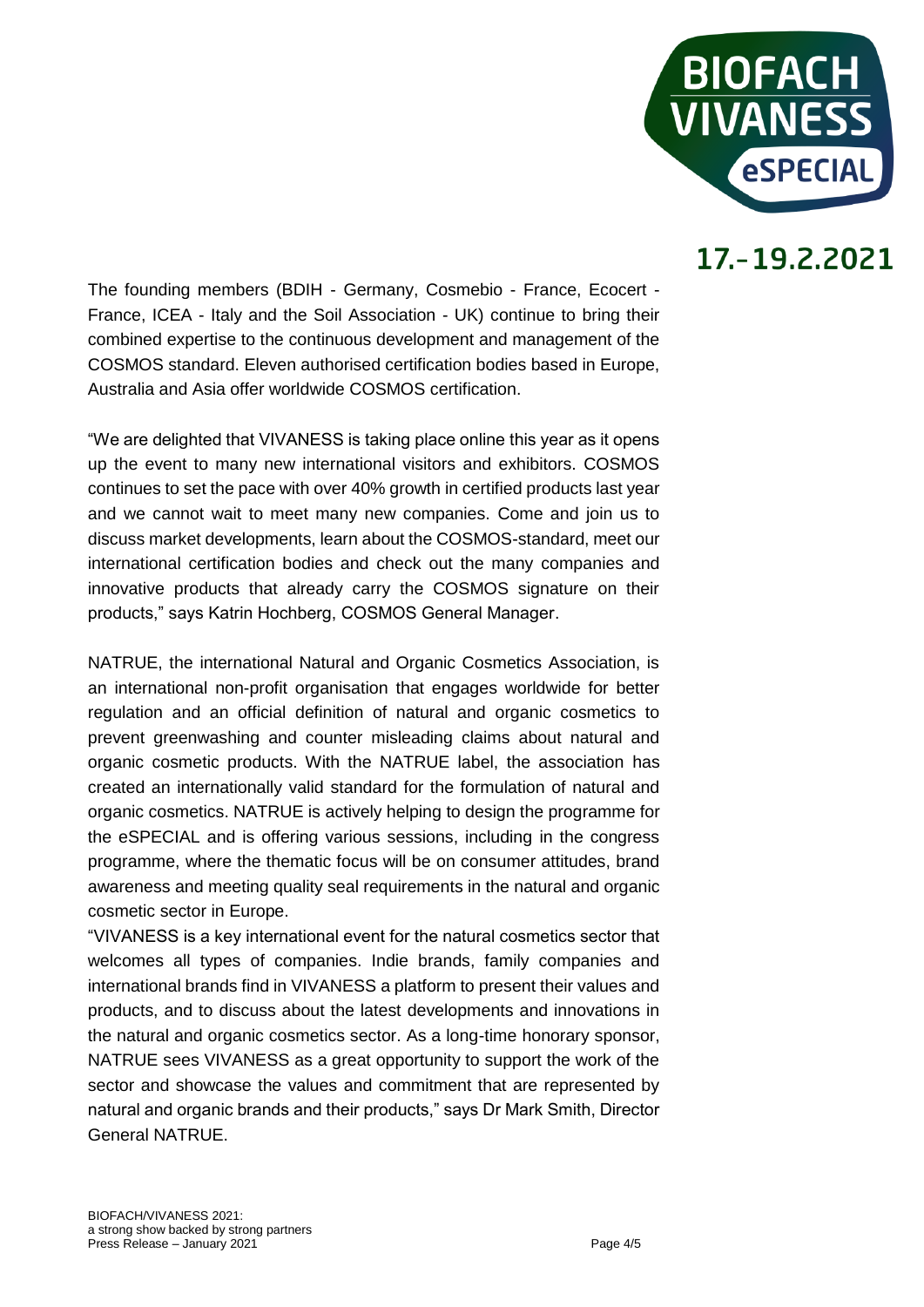

The founding members (BDIH - Germany, Cosmebio - France, Ecocert - France, ICEA - Italy and the Soil Association - UK) continue to bring their combined expertise to the continuous development and management of the COSMOS standard. Eleven authorised certification bodies based in Europe, Australia and Asia offer worldwide COSMOS certification.

"We are delighted that VIVANESS is taking place online this year as it opens up the event to many new international visitors and exhibitors. COSMOS continues to set the pace with over 40% growth in certified products last year and we cannot wait to meet many new companies. Come and join us to discuss market developments, learn about the COSMOS-standard, meet our international certification bodies and check out the many companies and innovative products that already carry the COSMOS signature on their products," says Katrin Hochberg, COSMOS General Manager.

NATRUE, the international Natural and Organic Cosmetics Association, is an international non-profit organisation that engages worldwide for better regulation and an official definition of natural and organic cosmetics to prevent greenwashing and counter misleading claims about natural and organic cosmetic products. With the NATRUE label, the association has created an internationally valid standard for the formulation of natural and organic cosmetics. NATRUE is actively helping to design the programme for the eSPECIAL and is offering various sessions, including in the congress programme, where the thematic focus will be on consumer attitudes, brand awareness and meeting quality seal requirements in the natural and organic cosmetic sector in Europe.

"VIVANESS is a key international event for the natural cosmetics sector that welcomes all types of companies. Indie brands, family companies and international brands find in VIVANESS a platform to present their values and products, and to discuss about the latest developments and innovations in the natural and organic cosmetics sector. As a long-time honorary sponsor, NATRUE sees VIVANESS as a great opportunity to support the work of the sector and showcase the values and commitment that are represented by natural and organic brands and their products," says Dr Mark Smith, Director General NATRUE.